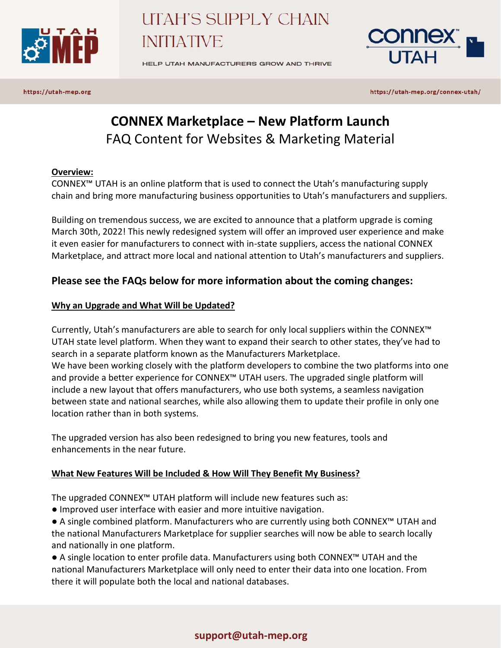

HELP UTAH MANUFACTURERS GROW AND THRIVE



https://utah-mep.org

https://utah-mep.org/connex-utah/

# **CONNEX Marketplace – New Platform Launch** FAQ Content for Websites & Marketing Material

### **Overview:**

CONNEX™ UTAH is an online platform that is used to connect the Utah's manufacturing supply chain and bring more manufacturing business opportunities to Utah's manufacturers and suppliers.

Building on tremendous success, we are excited to announce that a platform upgrade is coming March 30th, 2022! This newly redesigned system will offer an improved user experience and make it even easier for manufacturers to connect with in-state suppliers, access the national CONNEX Marketplace, and attract more local and national attention to Utah's manufacturers and suppliers.

## **Please see the FAQs below for more information about the coming changes:**

### **Why an Upgrade and What Will be Updated?**

Currently, Utah's manufacturers are able to search for only local suppliers within the CONNEX™ UTAH state level platform. When they want to expand their search to other states, they've had to search in a separate platform known as the Manufacturers Marketplace. We have been working closely with the platform developers to combine the two platforms into one and provide a better experience for CONNEX™ UTAH users. The upgraded single platform will include a new layout that offers manufacturers, who use both systems, a seamless navigation between state and national searches, while also allowing them to update their profile in only one location rather than in both systems.

The upgraded version has also been redesigned to bring you new features, tools and enhancements in the near future.

### **What New Features Will be Included & How Will They Benefit My Business?**

The upgraded CONNEX™ UTAH platform will include new features such as:

● Improved user interface with easier and more intuitive navigation.

● A single combined platform. Manufacturers who are currently using both CONNEX<sup>™</sup> UTAH and the national Manufacturers Marketplace for supplier searches will now be able to search locally and nationally in one platform.

● A single location to enter profile data. Manufacturers using both CONNEX<sup>™</sup> UTAH and the national Manufacturers Marketplace will only need to enter their data into one location. From there it will populate both the local and national databases.

### **support@utah-mep.org**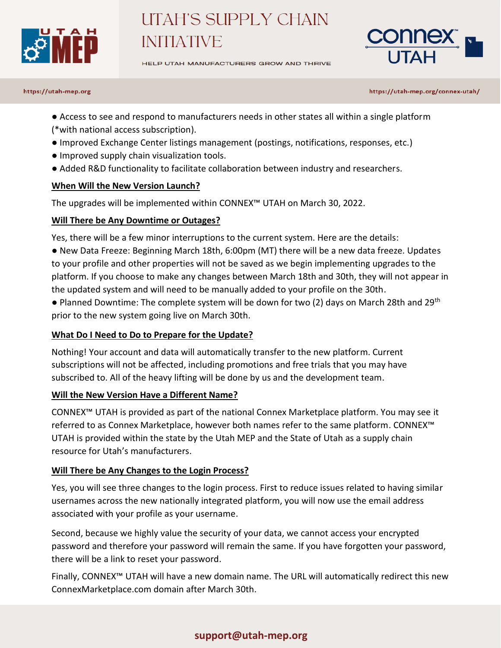

HELP UTAH MANUFACTURERS GROW AND THRIVE



### https://utah-mep.org

https://utah-mep.org/connex-utah/

- Access to see and respond to manufacturers needs in other states all within a single platform (\*with national access subscription).
- Improved Exchange Center listings management (postings, notifications, responses, etc.)
- Improved supply chain visualization tools.
- Added R&D functionality to facilitate collaboration between industry and researchers.

### **When Will the New Version Launch?**

The upgrades will be implemented within CONNEX™ UTAH on March 30, 2022.

### **Will There be Any Downtime or Outages?**

Yes, there will be a few minor interruptions to the current system. Here are the details:

● New Data Freeze: Beginning March 18th, 6:00pm (MT) there will be a new data freeze. Updates to your profile and other properties will not be saved as we begin implementing upgrades to the platform. If you choose to make any changes between March 18th and 30th, they will not appear in the updated system and will need to be manually added to your profile on the 30th.

● Planned Downtime: The complete system will be down for two (2) days on March 28th and 29<sup>th</sup> prior to the new system going live on March 30th.

### **What Do I Need to Do to Prepare for the Update?**

Nothing! Your account and data will automatically transfer to the new platform. Current subscriptions will not be affected, including promotions and free trials that you may have subscribed to. All of the heavy lifting will be done by us and the development team.

### **Will the New Version Have a Different Name?**

CONNEX™ UTAH is provided as part of the national Connex Marketplace platform. You may see it referred to as Connex Marketplace, however both names refer to the same platform. CONNEX™ UTAH is provided within the state by the Utah MEP and the State of Utah as a supply chain resource for Utah's manufacturers.

### **Will There be Any Changes to the Login Process?**

Yes, you will see three changes to the login process. First to reduce issues related to having similar usernames across the new nationally integrated platform, you will now use the email address associated with your profile as your username.

Second, because we highly value the security of your data, we cannot access your encrypted password and therefore your password will remain the same. If you have forgotten your password, there will be a link to reset your password.

Finally, CONNEX™ UTAH will have a new domain name. The URL will automatically redirect this new ConnexMarketplace.com domain after March 30th.

## **support@utah-mep.org**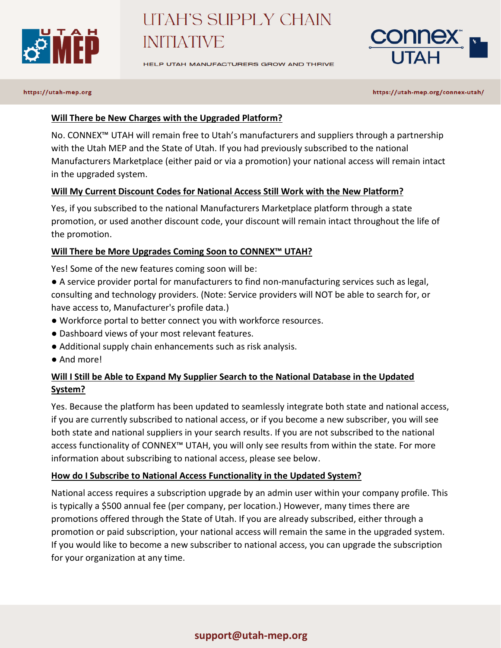

HELP UTAH MANUFACTURERS GROW AND THRIVE



### https://utah-mep.org

https://utah-mep.org/connex-utah/

### **Will There be New Charges with the Upgraded Platform?**

No. CONNEX™ UTAH will remain free to Utah's manufacturers and suppliers through a partnership with the Utah MEP and the State of Utah. If you had previously subscribed to the national Manufacturers Marketplace (either paid or via a promotion) your national access will remain intact in the upgraded system.

### **Will My Current Discount Codes for National Access Still Work with the New Platform?**

Yes, if you subscribed to the national Manufacturers Marketplace platform through a state promotion, or used another discount code, your discount will remain intact throughout the life of the promotion.

### **Will There be More Upgrades Coming Soon to CONNEX™ UTAH?**

Yes! Some of the new features coming soon will be:

● A service provider portal for manufacturers to find non-manufacturing services such as legal, consulting and technology providers. (Note: Service providers will NOT be able to search for, or have access to, Manufacturer's profile data.)

- Workforce portal to better connect you with workforce resources.
- Dashboard views of your most relevant features.
- Additional supply chain enhancements such as risk analysis.
- And more!

## **Will I Still be Able to Expand My Supplier Search to the National Database in the Updated System?**

Yes. Because the platform has been updated to seamlessly integrate both state and national access, if you are currently subscribed to national access, or if you become a new subscriber, you will see both state and national suppliers in your search results. If you are not subscribed to the national access functionality of CONNEX™ UTAH, you will only see results from within the state. For more information about subscribing to national access, please see below.

### **How do I Subscribe to National Access Functionality in the Updated System?**

National access requires a subscription upgrade by an admin user within your company profile. This is typically a \$500 annual fee (per company, per location.) However, many times there are promotions offered through the State of Utah. If you are already subscribed, either through a promotion or paid subscription, your national access will remain the same in the upgraded system. If you would like to become a new subscriber to national access, you can upgrade the subscription for your organization at any time.

### **support@utah-mep.org**